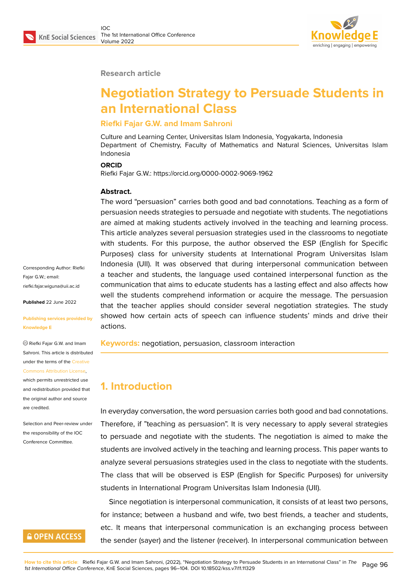

#### **Research article**

# **Negotiation Strategy to Persuade Students in an International Class**

### **Riefki Fajar G.W. and Imam Sahroni**

Culture and Learning Center, Universitas Islam Indonesia, Yogyakarta, Indonesia Department of Chemistry, Faculty of Mathematics and Natural Sciences, Universitas Islam Indonesia

#### **ORCID**

Riefki Fajar G.W.: https://orcid.org/0000-0002-9069-1962

#### **Abstract.**

The word "persuasion" carries both good and bad connotations. Teaching as a form of persuasion needs strategies to persuade and negotiate with students. The negotiations are aimed at making students actively involved in the teaching and learning process. This article analyzes several persuasion strategies used in the classrooms to negotiate with students. For this purpose, the author observed the ESP (English for Specific Purposes) class for university students at International Program Universitas Islam Indonesia (UII). It was observed that during interpersonal communication between a teacher and students, the language used contained interpersonal function as the communication that aims to educate students has a lasting effect and also affects how well the students comprehend information or acquire the message. The persuasion that the teacher applies should consider several negotiation strategies. The study showed how certain acts of speech can influence students' minds and drive their actions.

**Keywords:** negotiation, persuasion, classroom interaction

# **1. Introduction**

In everyday conversation, the word persuasion carries both good and bad connotations. Therefore, if "teaching as persuasion". It is very necessary to apply several strategies to persuade and negotiate with the students. The negotiation is aimed to make the students are involved actively in the teaching and learning process. This paper wants to analyze several persuasions strategies used in the class to negotiate with the students. The class that will be observed is ESP (English for Specific Purposes) for university students in International Program Universitas Islam Indonesia (UII).

Since negotiation is interpersonal communication, it consists of at least two persons, for instance; between a husband and wife, two best friends, a teacher and students, etc. It means that interpersonal communication is an exchanging process between the sender (sayer) and the listener (receiver). In interpersonal communication between

Corresponding Author: Riefki Fajar G.W.; email: riefki.fajar.wiguna@uii.ac.id

**Published** 22 June 2022

#### **[Publishing services provid](mailto:riefki.fajar.wiguna@uii.ac.id)ed by Knowledge E**

Riefki Fajar G.W. and Imam Sahroni. This article is distributed under the terms of the Creative Commons Attribution License,

which permits unrestricted use and redistribution provided that the original author and [source](https://creativecommons.org/licenses/by/4.0/) [are credited.](https://creativecommons.org/licenses/by/4.0/)

Selection and Peer-review under the responsibility of the IOC Conference Committee.

# **GOPEN ACCESS**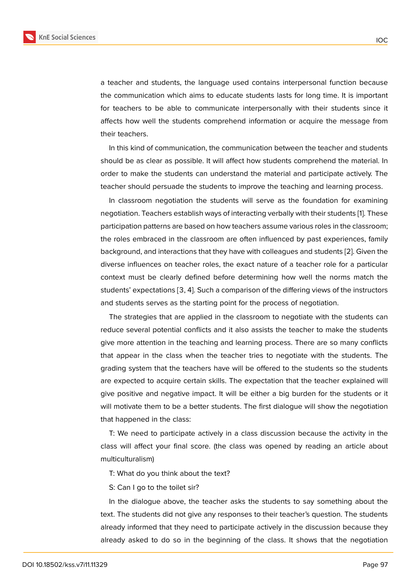a teacher and students, the language used contains interpersonal function because the communication which aims to educate students lasts for long time. It is important for teachers to be able to communicate interpersonally with their students since it affects how well the students comprehend information or acquire the message from their teachers.

In this kind of communication, the communication between the teacher and students should be as clear as possible. It will affect how students comprehend the material. In order to make the students can understand the material and participate actively. The teacher should persuade the students to improve the teaching and learning process.

In classroom negotiation the students will serve as the foundation for examining negotiation. Teachers establish ways of interacting verbally with their students [1]. These participation patterns are based on how teachers assume various roles in the classroom; the roles embraced in the classroom are often influenced by past experiences, family background, and interactions that they have with colleagues and students [2]. [Gi](#page-7-0)ven the diverse influences on teacher roles, the exact nature of a teacher role for a particular context must be clearly defined before determining how well the norms match the students' expectations [3, 4]. Such a comparison of the differing views of t[he](#page-7-1) instructors and students serves as the starting point for the process of negotiation.

The strategies that are applied in the classroom to negotiate with the students can reduce several potential conflicts and it also assists the teacher to make the students give more attention in the teaching and learning process. There are so many conflicts that appear in the class when the teacher tries to negotiate with the students. The grading system that the teachers have will be offered to the students so the students are expected to acquire certain skills. The expectation that the teacher explained will give positive and negative impact. It will be either a big burden for the students or it will motivate them to be a better students. The first dialogue will show the negotiation that happened in the class:

T: We need to participate actively in a class discussion because the activity in the class will affect your final score. (the class was opened by reading an article about multiculturalism)

T: What do you think about the text?

S: Can I go to the toilet sir?

In the dialogue above, the teacher asks the students to say something about the text. The students did not give any responses to their teacher's question. The students already informed that they need to participate actively in the discussion because they already asked to do so in the beginning of the class. It shows that the negotiation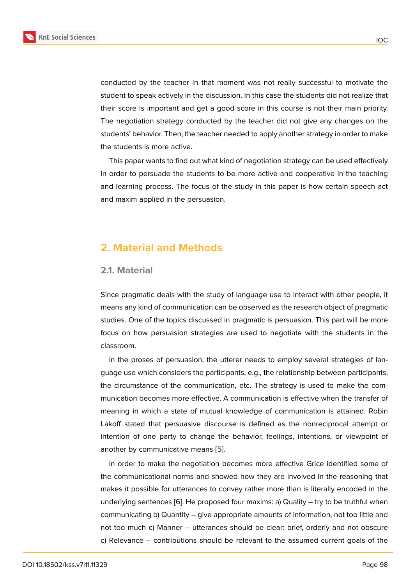conducted by the teacher in that moment was not really successful to motivate the student to speak actively in the discussion. In this case the students did not realize that their score is important and get a good score in this course is not their main priority. The negotiation strategy conducted by the teacher did not give any changes on the students' behavior. Then, the teacher needed to apply another strategy in order to make the students is more active.

This paper wants to find out what kind of negotiation strategy can be used effectively in order to persuade the students to be more active and cooperative in the teaching and learning process. The focus of the study in this paper is how certain speech act and maxim applied in the persuasion.

# **2. Material and Methods**

### **2.1. Material**

Since pragmatic deals with the study of language use to interact with other people, it means any kind of communication can be observed as the research object of pragmatic studies. One of the topics discussed in pragmatic is persuasion. This part will be more focus on how persuasion strategies are used to negotiate with the students in the classroom.

In the proses of persuasion, the utterer needs to employ several strategies of language use which considers the participants, e.g., the relationship between participants, the circumstance of the communication, etc. The strategy is used to make the communication becomes more effective. A communication is effective when the transfer of meaning in which a state of mutual knowledge of communication is attained. Robin Lakoff stated that persuasive discourse is defined as the nonreciprocal attempt or intention of one party to change the behavior, feelings, intentions, or viewpoint of another by communicative means [5].

In order to make the negotiation becomes more effective Grice identified some of the communicational norms and showed how they are involved in the reasoning that makes it possible for utterances to [c](#page-8-0)onvey rather more than is literally encoded in the underlying sentences [6]. He proposed four maxims: a) Quality – try to be truthful when communicating b) Quantity – give appropriate amounts of information, not too little and not too much c) Manner – utterances should be clear: brief, orderly and not obscure c) Relevance – contri[bu](#page-8-1)tions should be relevant to the assumed current goals of the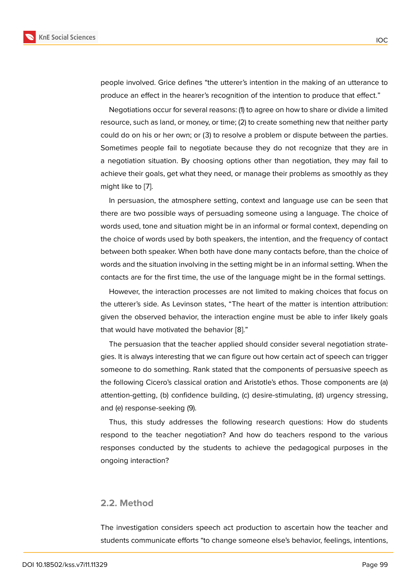Negotiations occur for several reasons: (1) to agree on how to share or divide a limited resource, such as land, or money, or time; (2) to create something new that neither party could do on his or her own; or (3) to resolve a problem or dispute between the parties. Sometimes people fail to negotiate because they do not recognize that they are in a negotiation situation. By choosing options other than negotiation, they may fail to achieve their goals, get what they need, or manage their problems as smoothly as they might like to [7].

In persuasion, the atmosphere setting, context and language use can be seen that there are two possible ways of persuading someone using a language. The choice of words used, t[on](#page-8-2)e and situation might be in an informal or formal context, depending on the choice of words used by both speakers, the intention, and the frequency of contact between both speaker. When both have done many contacts before, than the choice of words and the situation involving in the setting might be in an informal setting. When the contacts are for the first time, the use of the language might be in the formal settings.

However, the interaction processes are not limited to making choices that focus on the utterer's side. As Levinson states, "The heart of the matter is intention attribution: given the observed behavior, the interaction engine must be able to infer likely goals that would have motivated the behavior [8]."

The persuasion that the teacher applied should consider several negotiation strategies. It is always interesting that we can figure out how certain act of speech can trigger someone to do something. Rank stated [tha](#page-8-3)t the components of persuasive speech as the following Cicero's classical oration and Aristotle's ethos. Those components are (a) attention-getting, (b) confidence building, (c) desire-stimulating, (d) urgency stressing, and (e) response-seeking (9).

Thus, this study addresses the following research questions: How do students respond to the teacher negotiation? And how do teachers respond to the various responses conducted by the students to achieve the pedagogical purposes in the ongoing interaction?

### **2.2. Method**

The investigation considers speech act production to ascertain how the teacher and students communicate efforts "to change someone else's behavior, feelings, intentions,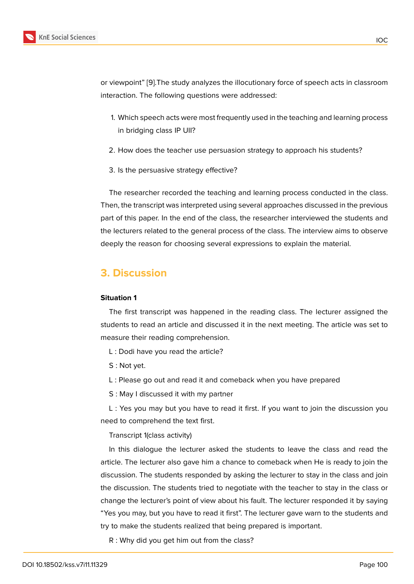- 1. Which sp[ee](#page-8-4)ch acts were most frequently used in the teaching and learning process in bridging class IP UII?
- 2. How does the teacher use persuasion strategy to approach his students?
- 3. Is the persuasive strategy effective?

The researcher recorded the teaching and learning process conducted in the class. Then, the transcript was interpreted using several approaches discussed in the previous part of this paper. In the end of the class, the researcher interviewed the students and the lecturers related to the general process of the class. The interview aims to observe deeply the reason for choosing several expressions to explain the material.

# **3. Discussion**

#### **Situation 1**

The first transcript was happened in the reading class. The lecturer assigned the students to read an article and discussed it in the next meeting. The article was set to measure their reading comprehension.

- L : Dodi have you read the article?
- S : Not yet.
- L : Please go out and read it and comeback when you have prepared
- S : May I discussed it with my partner

L : Yes you may but you have to read it first. If you want to join the discussion you need to comprehend the text first.

Transcript 1(class activity)

In this dialogue the lecturer asked the students to leave the class and read the article. The lecturer also gave him a chance to comeback when He is ready to join the discussion. The students responded by asking the lecturer to stay in the class and join the discussion. The students tried to negotiate with the teacher to stay in the class or change the lecturer's point of view about his fault. The lecturer responded it by saying "Yes you may, but you have to read it first". The lecturer gave warn to the students and try to make the students realized that being prepared is important.

R : Why did you get him out from the class?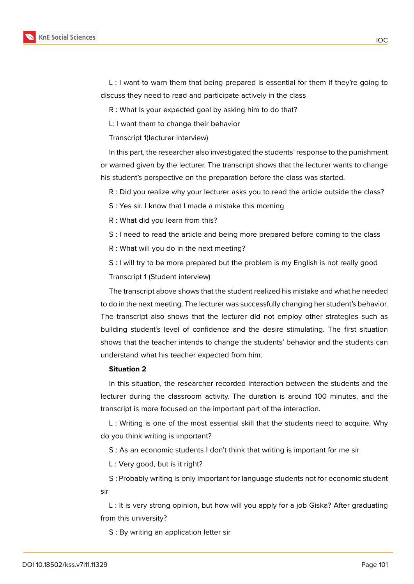

L : I want to warn them that being prepared is essential for them If they're going to discuss they need to read and participate actively in the class

R : What is your expected goal by asking him to do that?

L: I want them to change their behavior

Transcript 1(lecturer interview)

In this part, the researcher also investigated the students' response to the punishment or warned given by the lecturer. The transcript shows that the lecturer wants to change his student's perspective on the preparation before the class was started.

R : Did you realize why your lecturer asks you to read the article outside the class?

S : Yes sir. I know that I made a mistake this morning

R : What did you learn from this?

S : I need to read the article and being more prepared before coming to the class

R : What will you do in the next meeting?

S : I will try to be more prepared but the problem is my English is not really good Transcript 1 (Student interview)

The transcript above shows that the student realized his mistake and what he needed to do in the next meeting. The lecturer was successfully changing her student's behavior. The transcript also shows that the lecturer did not employ other strategies such as building student's level of confidence and the desire stimulating. The first situation shows that the teacher intends to change the students' behavior and the students can understand what his teacher expected from him.

### **Situation 2**

In this situation, the researcher recorded interaction between the students and the lecturer during the classroom activity. The duration is around 100 minutes, and the transcript is more focused on the important part of the interaction.

L : Writing is one of the most essential skill that the students need to acquire. Why do you think writing is important?

S : As an economic students I don't think that writing is important for me sir

L : Very good, but is it right?

S : Probably writing is only important for language students not for economic student sir

L : It is very strong opinion, but how will you apply for a job Giska? After graduating from this university?

S : By writing an application letter sir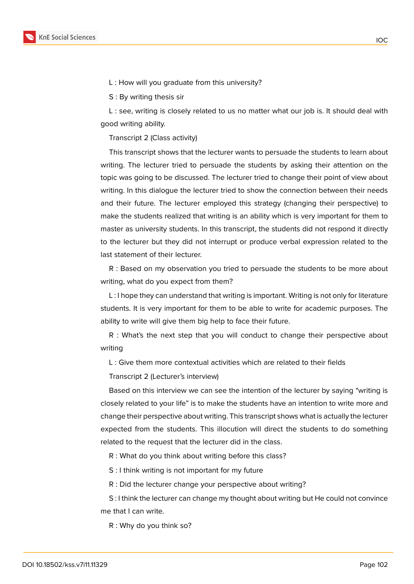

L : How will you graduate from this university?

S : By writing thesis sir

L : see, writing is closely related to us no matter what our job is. It should deal with good writing ability.

Transcript 2 (Class activity)

This transcript shows that the lecturer wants to persuade the students to learn about writing. The lecturer tried to persuade the students by asking their attention on the topic was going to be discussed. The lecturer tried to change their point of view about writing. In this dialogue the lecturer tried to show the connection between their needs and their future. The lecturer employed this strategy (changing their perspective) to make the students realized that writing is an ability which is very important for them to master as university students. In this transcript, the students did not respond it directly to the lecturer but they did not interrupt or produce verbal expression related to the last statement of their lecturer.

R : Based on my observation you tried to persuade the students to be more about writing, what do you expect from them?

L : I hope they can understand that writing is important. Writing is not only for literature students. It is very important for them to be able to write for academic purposes. The ability to write will give them big help to face their future.

R : What's the next step that you will conduct to change their perspective about writing

L : Give them more contextual activities which are related to their fields

Transcript 2 (Lecturer's interview)

Based on this interview we can see the intention of the lecturer by saying "writing is closely related to your life" is to make the students have an intention to write more and change their perspective about writing. This transcript shows what is actually the lecturer expected from the students. This illocution will direct the students to do something related to the request that the lecturer did in the class.

R : What do you think about writing before this class?

S : I think writing is not important for my future

R : Did the lecturer change your perspective about writing?

S : I think the lecturer can change my thought about writing but He could not convince me that I can write.

R : Why do you think so?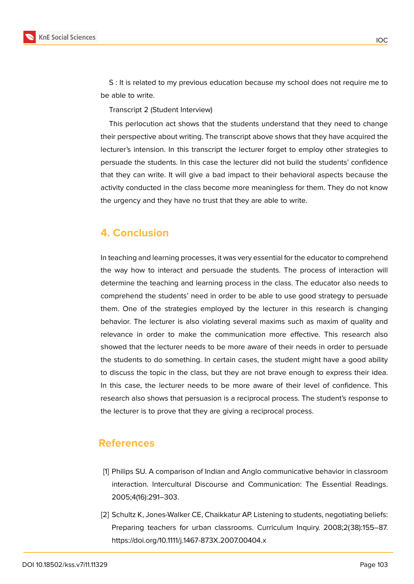

S : It is related to my previous education because my school does not require me to be able to write.

Transcript 2 (Student Interview)

This perlocution act shows that the students understand that they need to change their perspective about writing. The transcript above shows that they have acquired the lecturer's intension. In this transcript the lecturer forget to employ other strategies to persuade the students. In this case the lecturer did not build the students' confidence that they can write. It will give a bad impact to their behavioral aspects because the activity conducted in the class become more meaningless for them. They do not know the urgency and they have no trust that they are able to write.

## **4. Conclusion**

In teaching and learning processes, it was very essential for the educator to comprehend the way how to interact and persuade the students. The process of interaction will determine the teaching and learning process in the class. The educator also needs to comprehend the students' need in order to be able to use good strategy to persuade them. One of the strategies employed by the lecturer in this research is changing behavior. The lecturer is also violating several maxims such as maxim of quality and relevance in order to make the communication more effective. This research also showed that the lecturer needs to be more aware of their needs in order to persuade the students to do something. In certain cases, the student might have a good ability to discuss the topic in the class, but they are not brave enough to express their idea. In this case, the lecturer needs to be more aware of their level of confidence. This research also shows that persuasion is a reciprocal process. The student's response to the lecturer is to prove that they are giving a reciprocal process.

### **References**

- <span id="page-7-0"></span>[1] Philips SU. A comparison of Indian and Anglo communicative behavior in classroom interaction. Intercultural Discourse and Communication: The Essential Readings. 2005;4(16):291–303.
- <span id="page-7-1"></span>[2] Schultz K, Jones-Walker CE, Chaikkatur AP. Listening to students, negotiating beliefs: Preparing teachers for urban classrooms. Curriculum Inquiry. 2008;2(38):155–87. https://doi.org/10.1111/j.1467-873X.2007.00404.x